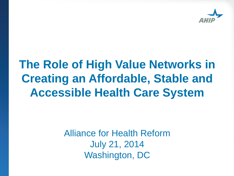

# **The Role of High Value Networks in Creating an Affordable, Stable and Accessible Health Care System**

Alliance for Health Reform July 21, 2014 Washington, DC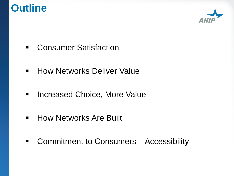## **Outline**



- **E.** Consumer Satisfaction
- **How Networks Deliver Value**
- **EXEC** Increased Choice, More Value
- **E** How Networks Are Built
- Commitment to Consumers Accessibility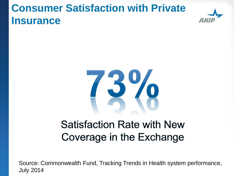## **Consumer Satisfaction with Private Insurance**





## **Satisfaction Rate with New** Coverage in the Exchange

Source: Commonwealth Fund, Tracking Trends in Health system performance, July 2014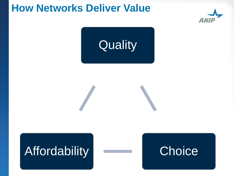## **How Networks Deliver Value**





# Affordability **Choice**

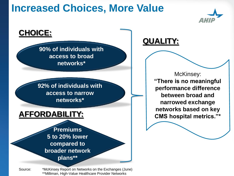## **Increased Choices, More Value**



#### **CHOICE:**

**90% of individuals with access to broad networks\***

**92% of individuals with access to narrow networks\***

#### **AFFORDABILITY:**

**Premiums 5 to 20% lower compared to broader network plans\*\***

Source: \*McKinsey Report on Networks on the Exchanges (June) \*\*Milliman, High-Value Healthcare Provider Networks

#### **QUALITY:**

McKinsey: **"There is no meaningful performance difference between broad and narrowed exchange networks based on key CMS hospital metrics."\***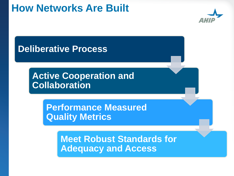## **How Networks Are Built**



### **Deliberative Process**

### **Active Cooperation and Collaboration**

**Performance Measured Quality Metrics**

> **Meet Robust Standards for Adequacy and Access**